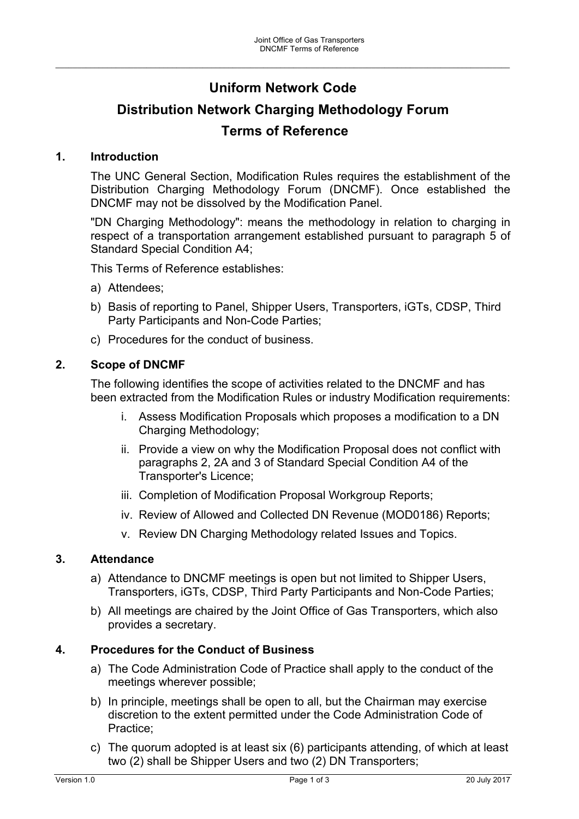## **Uniform Network Code**

\_\_\_\_\_\_\_\_\_\_\_\_\_\_\_\_\_\_\_\_\_\_\_\_\_\_\_\_\_\_\_\_\_\_\_\_\_\_\_\_\_\_\_\_\_\_\_\_\_\_\_\_\_\_\_\_\_\_\_\_\_\_\_\_\_\_\_\_\_\_\_\_\_\_\_\_\_\_\_\_\_\_\_\_\_\_\_\_\_\_\_\_\_\_\_\_\_\_\_\_\_\_\_\_\_

# **Distribution Network Charging Methodology Forum Terms of Reference**

#### **1. Introduction**

The UNC General Section, Modification Rules requires the establishment of the Distribution Charging Methodology Forum (DNCMF). Once established the DNCMF may not be dissolved by the Modification Panel.

"DN Charging Methodology": means the methodology in relation to charging in respect of a transportation arrangement established pursuant to paragraph 5 of Standard Special Condition A4;

This Terms of Reference establishes:

- a) Attendees;
- b) Basis of reporting to Panel, Shipper Users, Transporters, iGTs, CDSP, Third Party Participants and Non-Code Parties;
- c) Procedures for the conduct of business.

#### **2. Scope of DNCMF**

The following identifies the scope of activities related to the DNCMF and has been extracted from the Modification Rules or industry Modification requirements:

- i. Assess Modification Proposals which proposes a modification to a DN Charging Methodology;
- ii. Provide a view on why the Modification Proposal does not conflict with paragraphs 2, 2A and 3 of Standard Special Condition A4 of the Transporter's Licence;
- iii. Completion of Modification Proposal Workgroup Reports;
- iv. Review of Allowed and Collected DN Revenue (MOD0186) Reports;
- v. Review DN Charging Methodology related Issues and Topics.

#### **3. Attendance**

- a) Attendance to DNCMF meetings is open but not limited to Shipper Users, Transporters, iGTs, CDSP, Third Party Participants and Non-Code Parties;
- b) All meetings are chaired by the Joint Office of Gas Transporters, which also provides a secretary.

#### **4. Procedures for the Conduct of Business**

- a) The Code Administration Code of Practice shall apply to the conduct of the meetings wherever possible;
- b) In principle, meetings shall be open to all, but the Chairman may exercise discretion to the extent permitted under the Code Administration Code of Practice;
- c) The quorum adopted is at least six (6) participants attending, of which at least two (2) shall be Shipper Users and two (2) DN Transporters;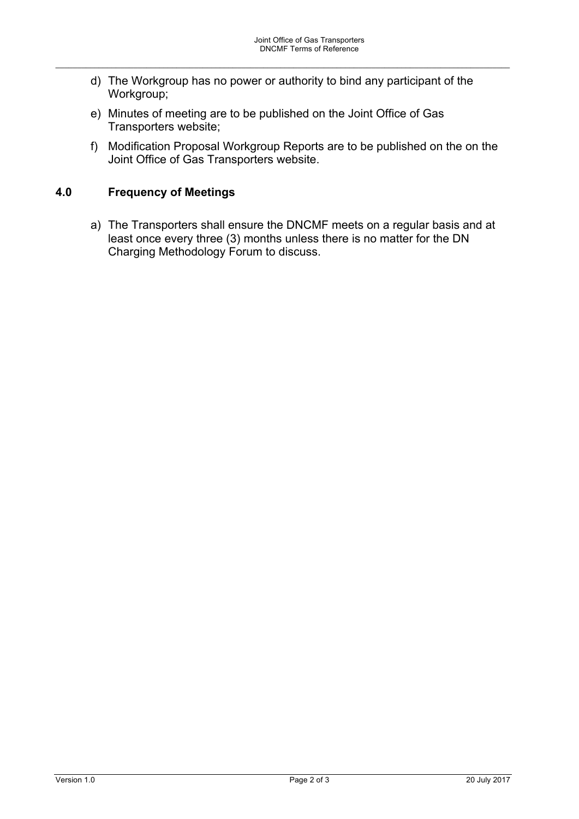d) The Workgroup has no power or authority to bind any participant of the Workgroup;

\_\_\_\_\_\_\_\_\_\_\_\_\_\_\_\_\_\_\_\_\_\_\_\_\_\_\_\_\_\_\_\_\_\_\_\_\_\_\_\_\_\_\_\_\_\_\_\_\_\_\_\_\_\_\_\_\_\_\_\_\_\_\_\_\_\_\_\_\_\_\_\_\_\_\_\_\_\_\_\_\_\_\_\_\_\_\_\_\_\_\_\_\_\_\_\_\_\_\_\_\_\_\_\_\_

- e) Minutes of meeting are to be published on the Joint Office of Gas Transporters website;
- f) Modification Proposal Workgroup Reports are to be published on the on the Joint Office of Gas Transporters website.

### **4.0 Frequency of Meetings**

a) The Transporters shall ensure the DNCMF meets on a regular basis and at least once every three (3) months unless there is no matter for the DN Charging Methodology Forum to discuss.